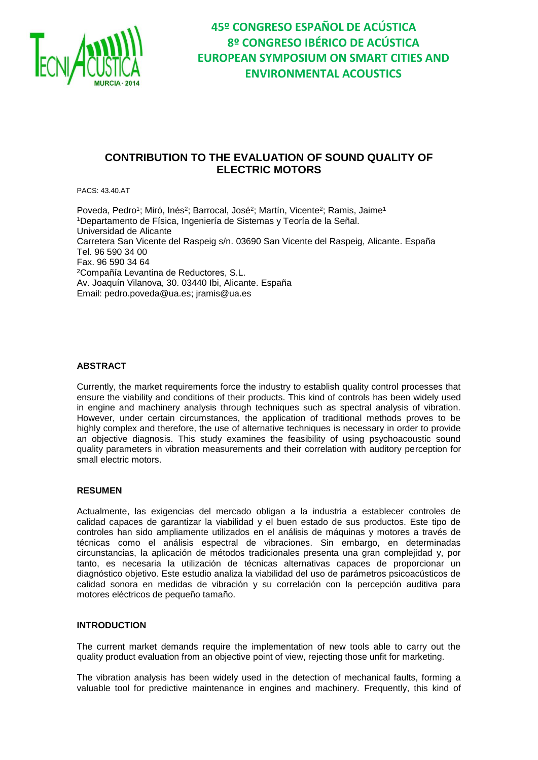

### **CONTRIBUTION TO THE EVALUATION OF SOUND QUALITY OF ELECTRIC MOTORS**

PACS: 43.40.AT

Poveda, Pedro<sup>1</sup>; Miró, Inés<sup>2</sup>; Barrocal, José<sup>2</sup>; Martín, Vicente<sup>2</sup>; Ramis, Jaime<sup>1</sup> <sup>1</sup>Departamento de Física, Ingeniería de Sistemas y Teoría de la Señal. Universidad de Alicante Carretera San Vicente del Raspeig s/n. 03690 San Vicente del Raspeig, Alicante. España Tel. 96 590 34 00 Fax. 96 590 34 64 <sup>2</sup>Compañía Levantina de Reductores, S.L. Av. Joaquín Vilanova, 30. 03440 Ibi, Alicante. España Email: [pedro.poveda@ua.es;](mailto:pedro.poveda@ua.es) [jramis@ua.es](mailto:jramis@ua.es)

#### **ABSTRACT**

Currently, the market requirements force the industry to establish quality control processes that ensure the viability and conditions of their products. This kind of controls has been widely used in engine and machinery analysis through techniques such as spectral analysis of vibration. However, under certain circumstances, the application of traditional methods proves to be highly complex and therefore, the use of alternative techniques is necessary in order to provide an objective diagnosis. This study examines the feasibility of using psychoacoustic sound quality parameters in vibration measurements and their correlation with auditory perception for small electric motors.

#### **RESUMEN**

Actualmente, las exigencias del mercado obligan a la industria a establecer controles de calidad capaces de garantizar la viabilidad y el buen estado de sus productos. Este tipo de controles han sido ampliamente utilizados en el análisis de máquinas y motores a través de técnicas como el análisis espectral de vibraciones. Sin embargo, en determinadas circunstancias, la aplicación de métodos tradicionales presenta una gran complejidad y, por tanto, es necesaria la utilización de técnicas alternativas capaces de proporcionar un diagnóstico objetivo. Este estudio analiza la viabilidad del uso de parámetros psicoacústicos de calidad sonora en medidas de vibración y su correlación con la percepción auditiva para motores eléctricos de pequeño tamaño.

#### **INTRODUCTION**

The current market demands require the implementation of new tools able to carry out the quality product evaluation from an objective point of view, rejecting those unfit for marketing.

The vibration analysis has been widely used in the detection of mechanical faults, forming a valuable tool for predictive maintenance in engines and machinery. Frequently, this kind of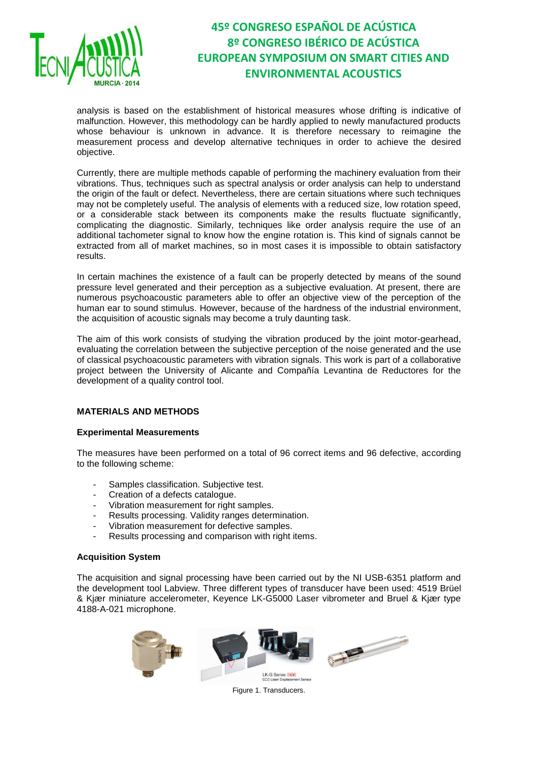

analysis is based on the establishment of historical measures whose drifting is indicative of malfunction. However, this methodology can be hardly applied to newly manufactured products whose behaviour is unknown in advance. It is therefore necessary to reimagine the measurement process and develop alternative techniques in order to achieve the desired objective.

Currently, there are multiple methods capable of performing the machinery evaluation from their vibrations. Thus, techniques such as spectral analysis or order analysis can help to understand the origin of the fault or defect. Nevertheless, there are certain situations where such techniques may not be completely useful. The analysis of elements with a reduced size, low rotation speed, or a considerable stack between its components make the results fluctuate significantly, complicating the diagnostic. Similarly, techniques like order analysis require the use of an additional tachometer signal to know how the engine rotation is. This kind of signals cannot be extracted from all of market machines, so in most cases it is impossible to obtain satisfactory results.

In certain machines the existence of a fault can be properly detected by means of the sound pressure level generated and their perception as a subjective evaluation. At present, there are numerous psychoacoustic parameters able to offer an objective view of the perception of the human ear to sound stimulus. However, because of the hardness of the industrial environment, the acquisition of acoustic signals may become a truly daunting task.

The aim of this work consists of studying the vibration produced by the joint motor-gearhead, evaluating the correlation between the subjective perception of the noise generated and the use of classical psychoacoustic parameters with vibration signals. This work is part of a collaborative project between the University of Alicante and Compañía Levantina de Reductores for the development of a quality control tool.

### **MATERIALS AND METHODS**

#### **Experimental Measurements**

The measures have been performed on a total of 96 correct items and 96 defective, according to the following scheme:

- Samples classification. Subjective test.
- Creation of a defects catalogue.
- Vibration measurement for right samples.
- Results processing. Validity ranges determination.
- Vibration measurement for defective samples.
- Results processing and comparison with right items.

#### **Acquisition System**

The acquisition and signal processing have been carried out by the NI USB-6351 platform and the development tool Labview. Three different types of transducer have been used: 4519 Brüel & Kjær miniature accelerometer, Keyence LK-G5000 Laser vibrometer and Bruel & Kjær type 4188-A-021 microphone.



Figure 1. Transducers.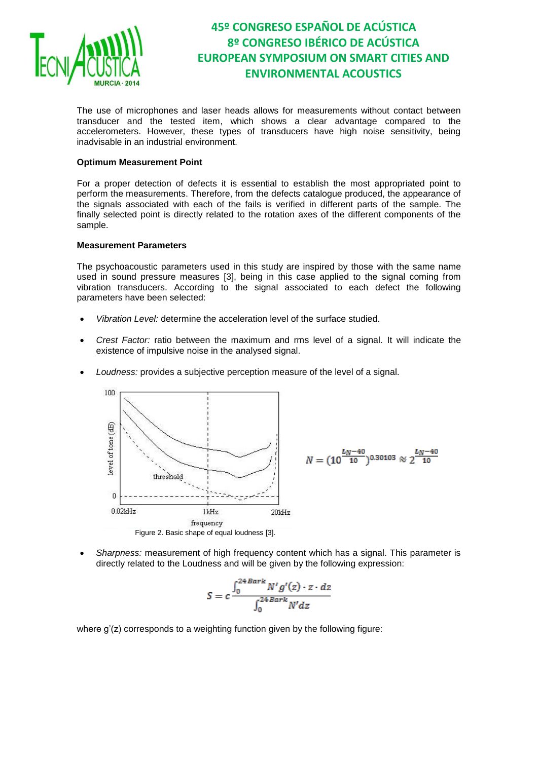

The use of microphones and laser heads allows for measurements without contact between transducer and the tested item, which shows a clear advantage compared to the accelerometers. However, these types of transducers have high noise sensitivity, being inadvisable in an industrial environment.

#### **Optimum Measurement Point**

For a proper detection of defects it is essential to establish the most appropriated point to perform the measurements. Therefore, from the defects catalogue produced, the appearance of the signals associated with each of the fails is verified in different parts of the sample. The finally selected point is directly related to the rotation axes of the different components of the sample.

#### **Measurement Parameters**

The psychoacoustic parameters used in this study are inspired by those with the same name used in sound pressure measures [3], being in this case applied to the signal coming from vibration transducers. According to the signal associated to each defect the following parameters have been selected:

- *Vibration Level:* determine the acceleration level of the surface studied.
- *Crest Factor:* ratio between the maximum and rms level of a signal. It will indicate the existence of impulsive noise in the analysed signal.
- *Loudness:* provides a subjective perception measure of the level of a signal.



 *Sharpness:* measurement of high frequency content which has a signal. This parameter is directly related to the Loudness and will be given by the following expression:

$$
S = c \frac{\int_0^{24 \,Bark} N' g'(z) \cdot z \cdot dz}{\int_0^{24 \,Bark} N' dz}
$$

where  $q'(z)$  corresponds to a weighting function given by the following figure: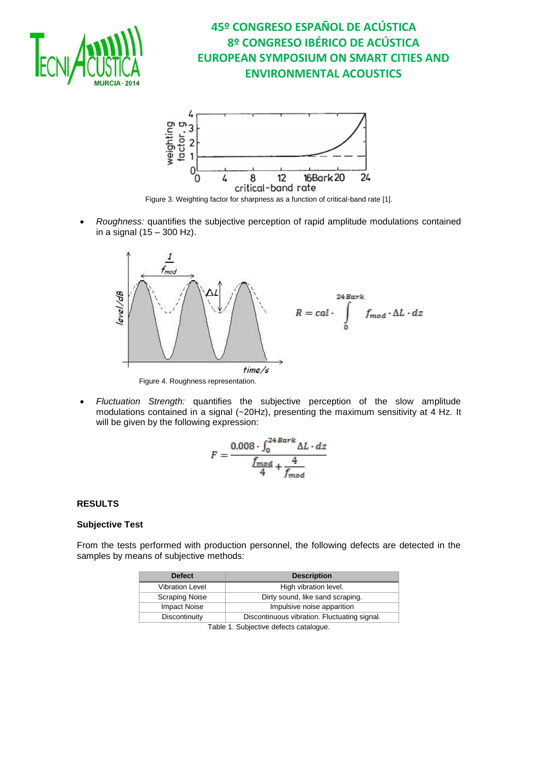



Figure 3. Weighting factor for sharpness as a function of critical-band rate [1].

 *Roughness:* quantifies the subjective perception of rapid amplitude modulations contained in a signal  $(15 - 300$  Hz).



 *Fluctuation Strength:* quantifies the subjective perception of the slow amplitude modulations contained in a signal (~20Hz), presenting the maximum sensitivity at 4 Hz. It will be given by the following expression:

$$
F = \frac{0.008 \cdot \int_0^{24 \, Bark} \Delta L \cdot dz}{\frac{f_{mod}}{4} + \frac{4}{f_{mod}}}
$$

### **RESULTS**

#### **Subjective Test**

From the tests performed with production personnel, the following defects are detected in the samples by means of subjective methods:

| <b>Defect</b>          | <b>Description</b>                           |  |  |
|------------------------|----------------------------------------------|--|--|
| <b>Vibration Level</b> | High vibration level.                        |  |  |
| <b>Scraping Noise</b>  | Dirty sound, like sand scraping.             |  |  |
| <b>Impact Noise</b>    | Impulsive noise apparition                   |  |  |
| Discontinuity          | Discontinuous vibration. Fluctuating signal. |  |  |

Table 1. Subjective defects catalogue.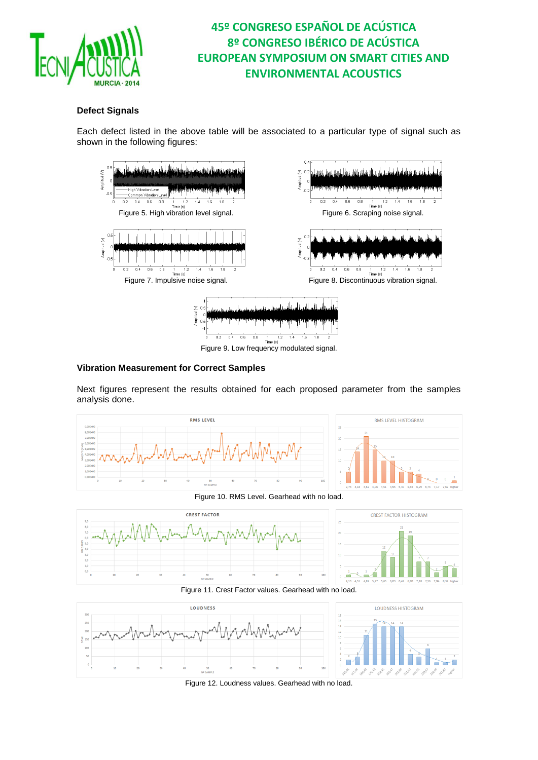

### **Defect Signals**

Each defect listed in the above table will be associated to a particular type of signal such as shown in the following figures:



#### **Vibration Measurement for Correct Samples**

Next figures represent the results obtained for each proposed parameter from the samples analysis done.



Figure 10. RMS Level. Gearhead with no load.





Figure 11. Crest Factor values. Gearhead with no load.





Figure 12. Loudness values. Gearhead with no load.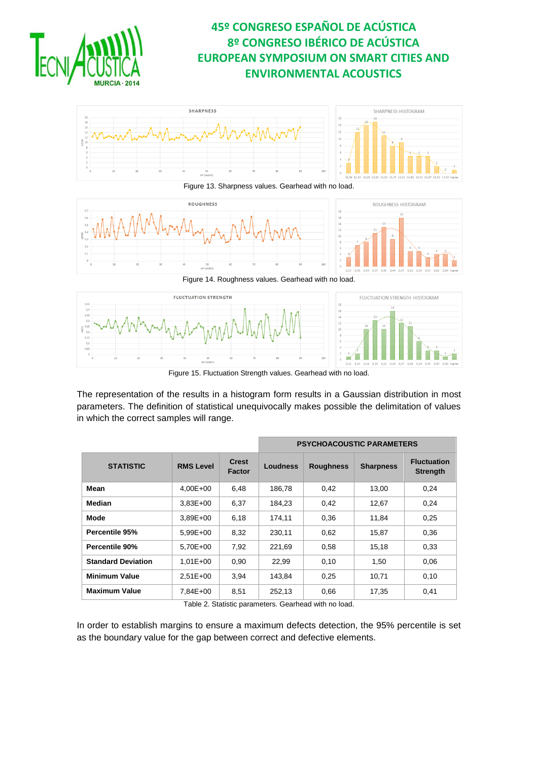



Figure 13. Sharpness values. Gearhead with no load.



Figure 14. Roughness values. Gearhead with no load.



Figure 15. Fluctuation Strength values. Gearhead with no load.

The representation of the results in a histogram form results in a Gaussian distribution in most parameters. The definition of statistical unequivocally makes possible the delimitation of values in which the correct samples will range.

|                           |                  |                        | <b>PSYCHOACOUSTIC PARAMETERS</b> |                  |                  |                                       |
|---------------------------|------------------|------------------------|----------------------------------|------------------|------------------|---------------------------------------|
| <b>STATISTIC</b>          | <b>RMS Level</b> | <b>Crest</b><br>Factor | <b>Loudness</b>                  | <b>Roughness</b> | <b>Sharpness</b> | <b>Fluctuation</b><br><b>Strength</b> |
| Mean                      | $4.00E + 00$     | 6,48                   | 186.78                           | 0,42             | 13.00            | 0,24                                  |
| Median                    | $3.83E + 00$     | 6,37                   | 184.23                           | 0,42             | 12,67            | 0,24                                  |
| Mode                      | $3,89E+00$       | 6,18                   | 174,11                           | 0,36             | 11,84            | 0,25                                  |
| Percentile 95%            | $5.99E + 00$     | 8,32                   | 230,11                           | 0,62             | 15,87            | 0,36                                  |
| Percentile 90%            | 5.70E+00         | 7.92                   | 221,69                           | 0,58             | 15,18            | 0.33                                  |
| <b>Standard Deviation</b> | $1,01E + 00$     | 0,90                   | 22,99                            | 0,10             | 1,50             | 0,06                                  |
| <b>Minimum Value</b>      | $2.51E + 00$     | 3,94                   | 143,84                           | 0,25             | 10,71            | 0,10                                  |
| <b>Maximum Value</b>      | 7,84E+00         | 8,51                   | 252,13                           | 0.66             | 17,35            | 0,41                                  |

Table 2. Statistic parameters. Gearhead with no load.

In order to establish margins to ensure a maximum defects detection, the 95% percentile is set as the boundary value for the gap between correct and defective elements.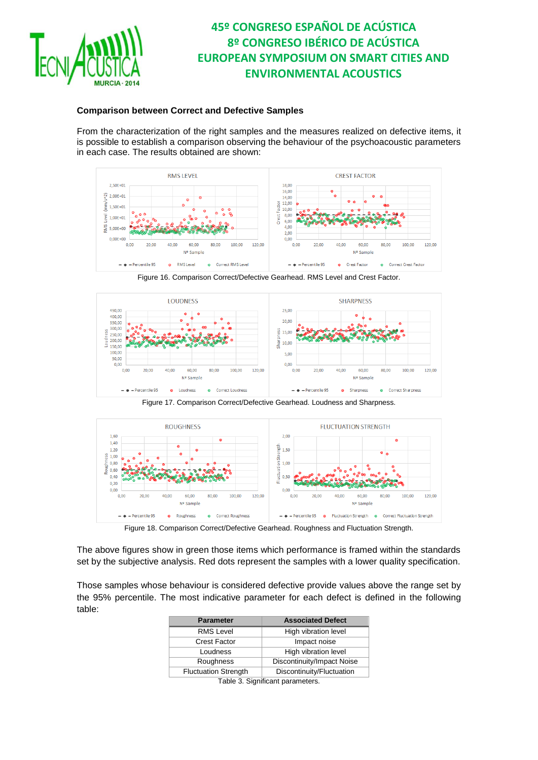

### **Comparison between Correct and Defective Samples**

From the characterization of the right samples and the measures realized on defective items, it is possible to establish a comparison observing the behaviour of the psychoacoustic parameters in each case. The results obtained are shown:



Figure 16. Comparison Correct/Defective Gearhead. RMS Level and Crest Factor.



Figure 17. Comparison Correct/Defective Gearhead. Loudness and Sharpness.



Figure 18. Comparison Correct/Defective Gearhead. Roughness and Fluctuation Strength.

The above figures show in green those items which performance is framed within the standards set by the subjective analysis. Red dots represent the samples with a lower quality specification.

Those samples whose behaviour is considered defective provide values above the range set by the 95% percentile. The most indicative parameter for each defect is defined in the following table:

| <b>Parameter</b>                 | <b>Associated Defect</b>   |  |  |  |
|----------------------------------|----------------------------|--|--|--|
| <b>RMS Level</b>                 | High vibration level       |  |  |  |
| <b>Crest Factor</b>              | Impact noise               |  |  |  |
| Loudness                         | High vibration level       |  |  |  |
| Roughness                        | Discontinuity/Impact Noise |  |  |  |
| <b>Fluctuation Strength</b>      | Discontinuity/Fluctuation  |  |  |  |
| Table 3. Significant parameters. |                            |  |  |  |